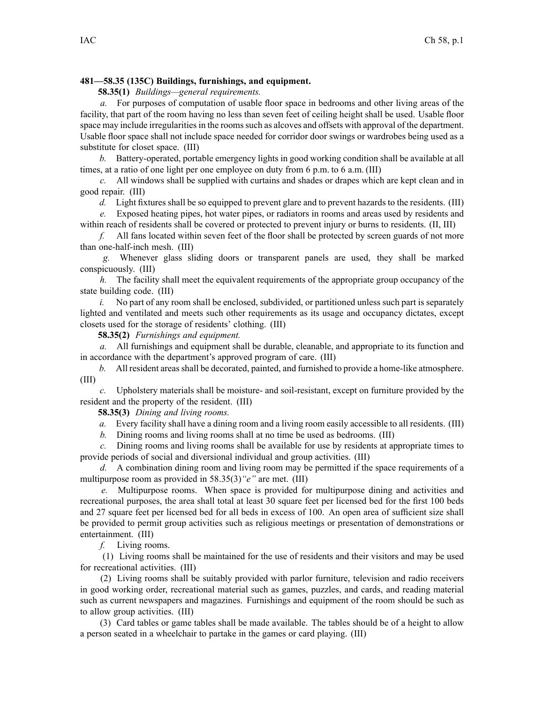## **481—58.35 (135C) Buildings, furnishings, and equipment.**

**58.35(1)** *Buildings—general requirements.*

*a.* For purposes of computation of usable floor space in bedrooms and other living areas of the facility, that par<sup>t</sup> of the room having no less than seven feet of ceiling height shall be used. Usable floor space may include irregularities in the rooms such as alcoves and offsets with approval of the department. Usable floor space shall not include space needed for corridor door swings or wardrobes being used as <sup>a</sup> substitute for closet space. (III)

*b.* Battery-operated, portable emergency lights in good working condition shall be available at all times, at <sup>a</sup> ratio of one light per one employee on duty from 6 p.m. to 6 a.m. (III)

*c.* All windows shall be supplied with curtains and shades or drapes which are kept clean and in good repair. (III)

*d.* Light fixtures shall be so equipped to preven<sup>t</sup> glare and to preven<sup>t</sup> hazards to the residents. (III)

*e.* Exposed heating pipes, hot water pipes, or radiators in rooms and areas used by residents and within reach of residents shall be covered or protected to preven<sup>t</sup> injury or burns to residents. (II, III)

*f.* All fans located within seven feet of the floor shall be protected by screen guards of not more than one-half-inch mesh. (III)

*g.* Whenever glass sliding doors or transparent panels are used, they shall be marked conspicuously. (III)

*h.* The facility shall meet the equivalent requirements of the appropriate group occupancy of the state building code. (III)

*i.* No part of any room shall be enclosed, subdivided, or partitioned unless such part is separately lighted and ventilated and meets such other requirements as its usage and occupancy dictates, excep<sup>t</sup> closets used for the storage of residents' clothing. (III)

**58.35(2)** *Furnishings and equipment.*

*a.* All furnishings and equipment shall be durable, cleanable, and appropriate to its function and in accordance with the department's approved program of care. (III)

*b.* All resident areasshall be decorated, painted, and furnished to provide <sup>a</sup> home-like atmosphere. (III)

*c.* Upholstery materials shall be moisture- and soil-resistant, excep<sup>t</sup> on furniture provided by the resident and the property of the resident. (III)

**58.35(3)** *Dining and living rooms.*

*a.* Every facility shall have <sup>a</sup> dining room and <sup>a</sup> living room easily accessible to all residents. (III)

*b.* Dining rooms and living rooms shall at no time be used as bedrooms. (III)

*c.* Dining rooms and living rooms shall be available for use by residents at appropriate times to provide periods of social and diversional individual and group activities. (III)

*d.* A combination dining room and living room may be permitted if the space requirements of a multipurpose room as provided in 58.35(3)*"e"* are met. (III)

*e.* Multipurpose rooms. When space is provided for multipurpose dining and activities and recreational purposes, the area shall total at least 30 square feet per licensed bed for the first 100 beds and 27 square feet per licensed bed for all beds in excess of 100. An open area of sufficient size shall be provided to permit group activities such as religious meetings or presentation of demonstrations or entertainment. (III)

*f.* Living rooms.

(1) Living rooms shall be maintained for the use of residents and their visitors and may be used for recreational activities. (III)

(2) Living rooms shall be suitably provided with parlor furniture, television and radio receivers in good working order, recreational material such as games, puzzles, and cards, and reading material such as current newspapers and magazines. Furnishings and equipment of the room should be such as to allow group activities. (III)

(3) Card tables or game tables shall be made available. The tables should be of <sup>a</sup> height to allow <sup>a</sup> person seated in <sup>a</sup> wheelchair to partake in the games or card playing. (III)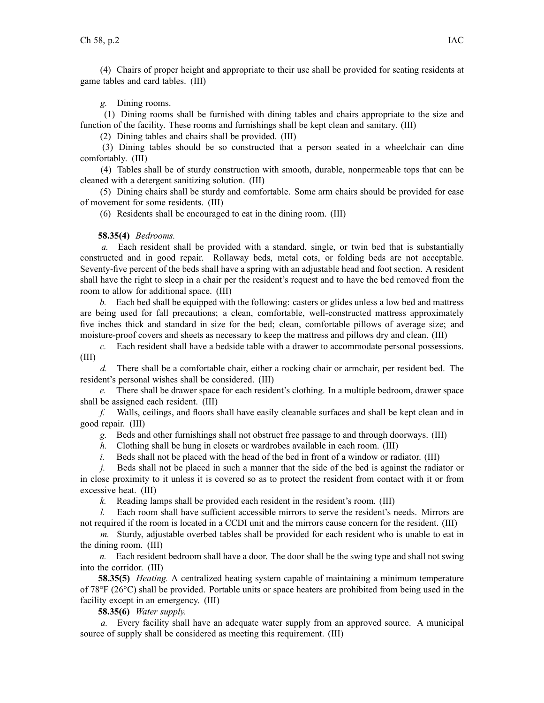(4) Chairs of proper height and appropriate to their use shall be provided for seating residents at game tables and card tables. (III)

*g.* Dining rooms.

(1) Dining rooms shall be furnished with dining tables and chairs appropriate to the size and function of the facility. These rooms and furnishings shall be kept clean and sanitary. (III)

(2) Dining tables and chairs shall be provided. (III)

(3) Dining tables should be so constructed that <sup>a</sup> person seated in <sup>a</sup> wheelchair can dine comfortably. (III)

(4) Tables shall be of sturdy construction with smooth, durable, nonpermeable tops that can be cleaned with <sup>a</sup> detergent sanitizing solution. (III)

(5) Dining chairs shall be sturdy and comfortable. Some arm chairs should be provided for ease of movement for some residents. (III)

(6) Residents shall be encouraged to eat in the dining room. (III)

## **58.35(4)** *Bedrooms.*

*a.* Each resident shall be provided with <sup>a</sup> standard, single, or twin bed that is substantially constructed and in good repair. Rollaway beds, metal cots, or folding beds are not acceptable. Seventy-five percen<sup>t</sup> of the beds shall have <sup>a</sup> spring with an adjustable head and foot section. A resident shall have the right to sleep in <sup>a</sup> chair per the resident's reques<sup>t</sup> and to have the bed removed from the room to allow for additional space. (III)

*b.* Each bed shall be equipped with the following: casters or glides unless <sup>a</sup> low bed and mattress are being used for fall precautions; <sup>a</sup> clean, comfortable, well-constructed mattress approximately five inches thick and standard in size for the bed; clean, comfortable pillows of average size; and moisture-proof covers and sheets as necessary to keep the mattress and pillows dry and clean. (III)

*c.* Each resident shall have <sup>a</sup> bedside table with <sup>a</sup> drawer to accommodate personal possessions. (III)

*d.* There shall be <sup>a</sup> comfortable chair, either <sup>a</sup> rocking chair or armchair, per resident bed. The resident's personal wishes shall be considered. (III)

*e.* There shall be drawer space for each resident's clothing. In <sup>a</sup> multiple bedroom, drawer space shall be assigned each resident. (III)

*f.* Walls, ceilings, and floors shall have easily cleanable surfaces and shall be kept clean and in good repair. (III)

*g.* Beds and other furnishings shall not obstruct free passage to and through doorways. (III)

*h.* Clothing shall be hung in closets or wardrobes available in each room. (III)

*i.* Beds shall not be placed with the head of the bed in front of a window or radiator. (III)

*j.* Beds shall not be placed in such a manner that the side of the bed is against the radiator or in close proximity to it unless it is covered so as to protect the resident from contact with it or from excessive heat. (III)

*k.* Reading lamps shall be provided each resident in the resident's room. (III)

*l.* Each room shall have sufficient accessible mirrors to serve the resident's needs. Mirrors are not required if the room is located in <sup>a</sup> CCDI unit and the mirrors cause concern for the resident. (III)

*m.* Sturdy, adjustable overbed tables shall be provided for each resident who is unable to eat in the dining room. (III)

*n.* Each resident bedroom shall have <sup>a</sup> door. The door shall be the swing type and shall not swing into the corridor. (III)

**58.35(5)** *Heating.* A centralized heating system capable of maintaining <sup>a</sup> minimum temperature of 78°F (26°C) shall be provided. Portable units or space heaters are prohibited from being used in the facility excep<sup>t</sup> in an emergency. (III)

**58.35(6)** *Water supply.*

*a.* Every facility shall have an adequate water supply from an approved source. A municipal source of supply shall be considered as meeting this requirement. (III)